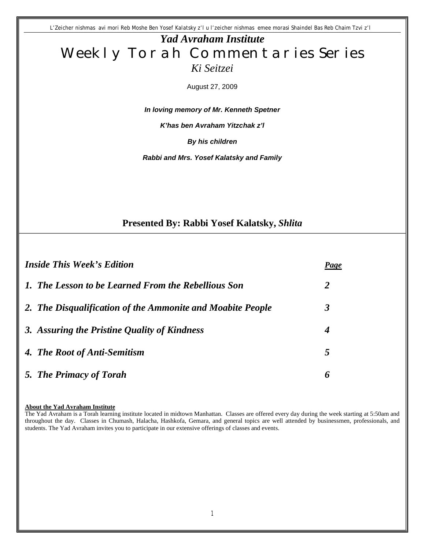*L'Zeicher nishmas avi mori Reb Moshe Ben Yosef Kalatsky z'l u l'zeicher nishmas emee morasi Shaindel Bas Reb Chaim Tzvi z'l* 

# *Yad Avraham Institute* Weekly Torah Commentaries Series *Ki Seitzei*

August 27, 2009

*In loving memory of Mr. Kenneth Spetner* 

*K'has ben Avraham Yitzchak z'l*

*By his children* 

*Rabbi and Mrs. Yosef Kalatsky and Family*

### **Presented By: Rabbi Yosef Kalatsky,** *Shlita*

| <b>Inside This Week's Edition</b>                          | Page |
|------------------------------------------------------------|------|
| 1. The Lesson to be Learned From the Rebellious Son        | 2    |
| 2. The Disqualification of the Ammonite and Moabite People | 3    |
| 3. Assuring the Pristine Quality of Kindness               | 4    |
| 4. The Root of Anti-Semitism                               | 5    |
| 5. The Primacy of Torah                                    | 6    |

#### **About the Yad Avraham Institute**

The Yad Avraham is a Torah learning institute located in midtown Manhattan. Classes are offered every day during the week starting at 5:50am and throughout the day. Classes in Chumash, Halacha, Hashkofa, Gemara, and general topics are well attended by businessmen, professionals, and students. The Yad Avraham invites you to participate in our extensive offerings of classes and events.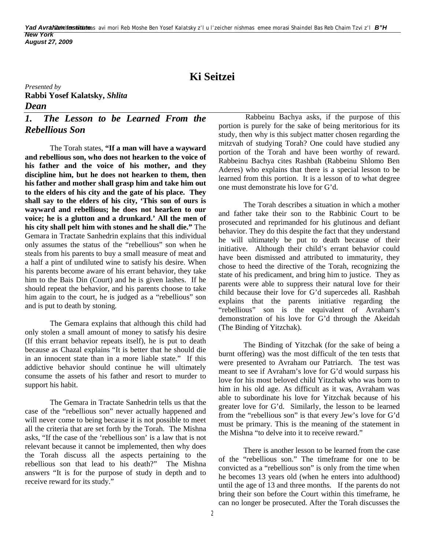# **Ki Seitzei**

*Presented by* **Rabbi Yosef Kalatsky,** *Shlita Dean* 

## *1. The Lesson to be Learned From the Rebellious Son*

 The Torah states, **"If a man will have a wayward and rebellious son, who does not hearken to the voice of his father and the voice of his mother, and they discipline him, but he does not hearken to them, then his father and mother shall grasp him and take him out to the elders of his city and the gate of his place. They shall say to the elders of his city, 'This son of ours is wayward and rebellious; he does not hearken to our voice; he is a glutton and a drunkard.' All the men of his city shall pelt him with stones and he shall die."** The Gemara in Tractate Sanhedrin explains that this individual only assumes the status of the "rebellious" son when he steals from his parents to buy a small measure of meat and a half a pint of undiluted wine to satisfy his desire. When his parents become aware of his errant behavior, they take him to the Bais Din (Court) and he is given lashes. If he should repeat the behavior, and his parents choose to take him again to the court, he is judged as a "rebellious" son and is put to death by stoning.

The Gemara explains that although this child had only stolen a small amount of money to satisfy his desire (If this errant behavior repeats itself), he is put to death because as Chazal explains "It is better that he should die in an innocent state than in a more liable state." If this addictive behavior should continue he will ultimately consume the assets of his father and resort to murder to support his habit.

The Gemara in Tractate Sanhedrin tells us that the case of the "rebellious son" never actually happened and will never come to being because it is not possible to meet all the criteria that are set forth by the Torah. The Mishna asks, "If the case of the 'rebellious son' is a law that is not relevant because it cannot be implemented, then why does the Torah discuss all the aspects pertaining to the rebellious son that lead to his death?" The Mishna answers "It is for the purpose of study in depth and to receive reward for its study."

 Rabbeinu Bachya asks, if the purpose of this portion is purely for the sake of being meritorious for its study, then why is this subject matter chosen regarding the mitzvah of studying Torah? One could have studied any portion of the Torah and have been worthy of reward. Rabbeinu Bachya cites Rashbah (Rabbeinu Shlomo Ben Aderes) who explains that there is a special lesson to be learned from this portion. It is a lesson of to what degree one must demonstrate his love for G'd.

The Torah describes a situation in which a mother and father take their son to the Rabbinic Court to be prosecuted and reprimanded for his glutinous and defiant behavior. They do this despite the fact that they understand he will ultimately be put to death because of their initiative. Although their child's errant behavior could have been dismissed and attributed to immaturity, they chose to heed the directive of the Torah, recognizing the state of his predicament, and bring him to justice. They as parents were able to suppress their natural love for their child because their love for G'd supercedes all. Rashbah explains that the parents initiative regarding the "rebellious" son is the equivalent of Avraham's demonstration of his love for G'd through the Akeidah (The Binding of Yitzchak).

The Binding of Yitzchak (for the sake of being a burnt offering) was the most difficult of the ten tests that were presented to Avraham our Patriarch. The test was meant to see if Avraham's love for G'd would surpass his love for his most beloved child Yitzchak who was born to him in his old age. As difficult as it was, Avraham was able to subordinate his love for Yitzchak because of his greater love for G'd. Similarly, the lesson to be learned from the "rebellious son" is that every Jew's love for G'd must be primary. This is the meaning of the statement in the Mishna "to delve into it to receive reward."

There is another lesson to be learned from the case of the "rebellious son." The timeframe for one to be convicted as a "rebellious son" is only from the time when he becomes 13 years old (when he enters into adulthood) until the age of 13 and three months. If the parents do not bring their son before the Court within this timeframe, he can no longer be prosecuted. After the Torah discusses the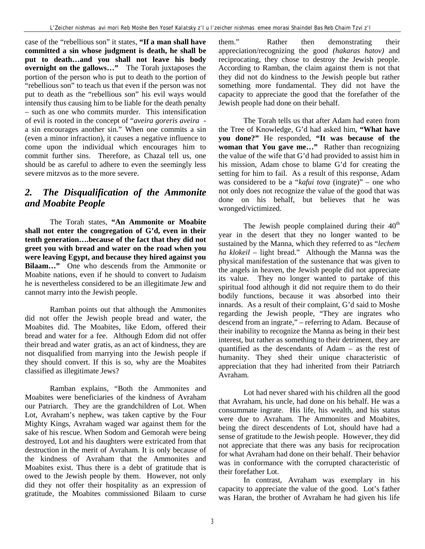case of the "rebellious son" it states, **"If a man shall have committed a sin whose judgment is death, he shall be put to death…and you shall not leave his body overnight on the gallows…"** The Torah juxtaposes the portion of the person who is put to death to the portion of "rebellious son" to teach us that even if the person was not put to death as the "rebellious son" his evil ways would intensify thus causing him to be liable for the death penalty – such as one who commits murder. This intensification of evil is rooted in the concept of "*aveira goreris aveira* a sin encourages another sin." When one commits a sin (even a minor infraction), it causes a negative influence to come upon the individual which encourages him to commit further sins. Therefore, as Chazal tell us, one should be as careful to adhere to even the seemingly less severe mitzvos as to the more severe.

## *2. The Disqualification of the Ammonite and Moabite People*

The Torah states, **"An Ammonite or Moabite shall not enter the congregation of G'd, even in their tenth generation….because of the fact that they did not greet you with bread and water on the road when you were leaving Egypt, and because they hired against you Bilaam…"** One who descends from the Ammonite or Moabite nations, even if he should to convert to Judaism he is nevertheless considered to be an illegitimate Jew and cannot marry into the Jewish people.

Ramban points out that although the Ammonites did not offer the Jewish people bread and water, the Moabites did. The Moabites, like Edom, offered their bread and water for a fee. Although Edom did not offer their bread and water gratis, as an act of kindness, they are not disqualified from marrying into the Jewish people if they should convert. If this is so, why are the Moabites classified as illegitimate Jews?

Ramban explains, "Both the Ammonites and Moabites were beneficiaries of the kindness of Avraham our Patriarch. They are the grandchildren of Lot. When Lot, Avraham's nephew, was taken captive by the Four Mighty Kings, Avraham waged war against them for the sake of his rescue. When Sodom and Gemorah were being destroyed, Lot and his daughters were extricated from that destruction in the merit of Avraham. It is only because of the kindness of Avraham that the Ammonites and Moabites exist. Thus there is a debt of gratitude that is owed to the Jewish people by them. However, not only did they not offer their hospitality as an expression of gratitude, the Moabites commissioned Bilaam to curse

them." Rather then demonstrating their appreciation/recognizing the good *(hakaras hatov)* and reciprocating, they chose to destroy the Jewish people. According to Ramban, the claim against them is not that they did not do kindness to the Jewish people but rather something more fundamental. They did not have the capacity to appreciate the good that the forefather of the Jewish people had done on their behalf.

The Torah tells us that after Adam had eaten from the Tree of Knowledge, G'd had asked him, **"What have you done?"** He responded, **"It was because of the woman that You gave me…"** Rather than recognizing the value of the wife that G'd had provided to assist him in his mission, Adam chose to blame G'd for creating the setting for him to fail. As a result of this response, Adam was considered to be a "*kafui tova* (ingrate)" – one who not only does not recognize the value of the good that was done on his behalf, but believes that he was wronged/victimized.

The Jewish people complained during their  $40<sup>th</sup>$ year in the desert that they no longer wanted to be sustained by the Manna, which they referred to as "*lechem ha klokeil* – light bread." Although the Manna was the physical manifestation of the sustenance that was given to the angels in heaven, the Jewish people did not appreciate its value. They no longer wanted to partake of this spiritual food although it did not require them to do their bodily functions, because it was absorbed into their innards. As a result of their complaint, G'd said to Moshe regarding the Jewish people, "They are ingrates who descend from an ingrate," – referring to Adam. Because of their inability to recognize the Manna as being in their best interest, but rather as something to their detriment, they are quantified as the descendants of Adam – as the rest of humanity. They shed their unique characteristic of appreciation that they had inherited from their Patriarch Avraham.

Lot had never shared with his children all the good that Avraham, his uncle, had done on his behalf. He was a consummate ingrate. His life, his wealth, and his status were due to Avraham. The Ammonites and Moabites, being the direct descendents of Lot, should have had a sense of gratitude to the Jewish people. However, they did not appreciate that there was any basis for reciprocation for what Avraham had done on their behalf. Their behavior was in conformance with the corrupted characteristic of their forefather Lot.

In contrast, Avraham was exemplary in his capacity to appreciate the value of the good. Lot's father was Haran, the brother of Avraham he had given his life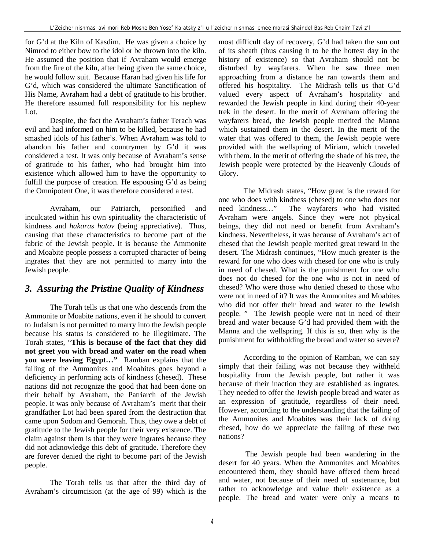for G'd at the Kiln of Kasdim. He was given a choice by Nimrod to either bow to the idol or be thrown into the kiln. He assumed the position that if Avraham would emerge from the fire of the kiln, after being given the same choice, he would follow suit. Because Haran had given his life for G'd, which was considered the ultimate Sanctification of His Name, Avraham had a debt of gratitude to his brother. He therefore assumed full responsibility for his nephew Lot.

Despite, the fact the Avraham's father Terach was evil and had informed on him to be killed, because he had smashed idols of his father's. When Avraham was told to abandon his father and countrymen by G'd it was considered a test. It was only because of Avraham's sense of gratitude to his father, who had brought him into existence which allowed him to have the opportunity to fulfill the purpose of creation. He espousing G'd as being the Omnipotent One, it was therefore considered a test.

Avraham, our Patriarch, personified and inculcated within his own spirituality the characteristic of kindness and *hakaras hatov* (being appreciative). Thus, causing that these characteristics to become part of the fabric of the Jewish people. It is because the Ammonite and Moabite people possess a corrupted character of being ingrates that they are not permitted to marry into the Jewish people.

### *3. Assuring the Pristine Quality of Kindness*

The Torah tells us that one who descends from the Ammonite or Moabite nations, even if he should to convert to Judaism is not permitted to marry into the Jewish people because his status is considered to be illegitimate. The Torah states, "**This is because of the fact that they did not greet you with bread and water on the road when you were leaving Egypt…"** Ramban explains that the failing of the Ammonites and Moabites goes beyond a deficiency in performing acts of kindness (chesed). These nations did not recognize the good that had been done on their behalf by Avraham, the Patriarch of the Jewish people. It was only because of Avraham's merit that their grandfather Lot had been spared from the destruction that came upon Sodom and Gemorah. Thus, they owe a debt of gratitude to the Jewish people for their very existence. The claim against them is that they were ingrates because they did not acknowledge this debt of gratitude. Therefore they are forever denied the right to become part of the Jewish people.

The Torah tells us that after the third day of Avraham's circumcision (at the age of 99) which is the

most difficult day of recovery, G'd had taken the sun out of its sheath (thus causing it to be the hottest day in the history of existence) so that Avraham should not be disturbed by wayfarers. When he saw three men approaching from a distance he ran towards them and offered his hospitality. The Midrash tells us that G'd valued every aspect of Avraham's hospitality and rewarded the Jewish people in kind during their 40-year trek in the desert. In the merit of Avraham offering the wayfarers bread, the Jewish people merited the Manna which sustained them in the desert. In the merit of the water that was offered to them, the Jewish people were provided with the wellspring of Miriam, which traveled with them. In the merit of offering the shade of his tree, the Jewish people were protected by the Heavenly Clouds of Glory.

The Midrash states, "How great is the reward for one who does with kindness (chesed) to one who does not<br>need kindness..." The wayfarers who had visited The wayfarers who had visited Avraham were angels. Since they were not physical beings, they did not need or benefit from Avraham's kindness. Nevertheless, it was because of Avraham's act of chesed that the Jewish people merited great reward in the desert. The Midrash continues, "How much greater is the reward for one who does with chesed for one who is truly in need of chesed. What is the punishment for one who does not do chesed for the one who is not in need of chesed? Who were those who denied chesed to those who were not in need of it? It was the Ammonites and Moabites who did not offer their bread and water to the Jewish people. " The Jewish people were not in need of their bread and water because G'd had provided them with the Manna and the wellspring. If this is so, then why is the punishment for withholding the bread and water so severe?

According to the opinion of Ramban, we can say simply that their failing was not because they withheld hospitality from the Jewish people, but rather it was because of their inaction they are established as ingrates. They needed to offer the Jewish people bread and water as an expression of gratitude, regardless of their need. However, according to the understanding that the failing of the Ammonites and Moabites was their lack of doing chesed, how do we appreciate the failing of these two nations?

The Jewish people had been wandering in the desert for 40 years. When the Ammonites and Moabites encountered them, they should have offered them bread and water, not because of their need of sustenance, but rather to acknowledge and value their existence as a people. The bread and water were only a means to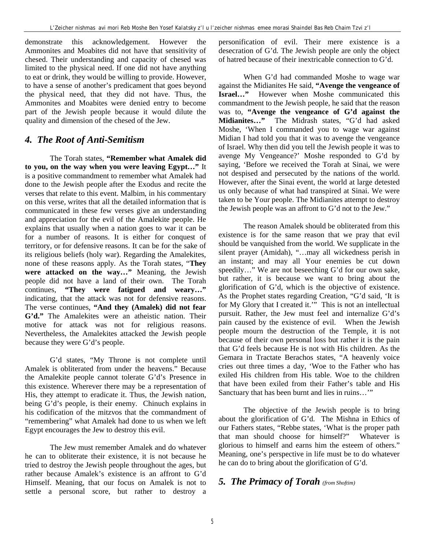demonstrate this acknowledgement. However the Ammonites and Moabites did not have that sensitivity of chesed. Their understanding and capacity of chesed was limited to the physical need. If one did not have anything to eat or drink, they would be willing to provide. However, to have a sense of another's predicament that goes beyond the physical need, that they did not have. Thus, the Ammonites and Moabites were denied entry to become part of the Jewish people because it would dilute the quality and dimension of the chesed of the Jew.

### *4. The Root of Anti-Semitism*

The Torah states, **"Remember what Amalek did to you, on the way when you were leaving Egypt…"** It is a positive commandment to remember what Amalek had done to the Jewish people after the Exodus and recite the verses that relate to this event. Malbim, in his commentary on this verse, writes that all the detailed information that is communicated in these few verses give an understanding and appreciation for the evil of the Amalekite people. He explains that usually when a nation goes to war it can be for a number of reasons. It is either for conquest of territory, or for defensive reasons. It can be for the sake of its religious beliefs (holy war). Regarding the Amalekites, none of these reasons apply. As the Torah states, "**They were attacked on the way…"** Meaning, the Jewish people did not have a land of their own. The Torah continues, **"They were fatigued and weary…"** indicating, that the attack was not for defensive reasons. The verse continues, **"And they (Amalek) did not fear G'd."** The Amalekites were an atheistic nation. Their motive for attack was not for religious reasons. Nevertheless, the Amalekites attacked the Jewish people because they were G'd's people.

G'd states, "My Throne is not complete until Amalek is obliterated from under the heavens." Because the Amalekite people cannot tolerate G'd's Presence in this existence. Wherever there may be a representation of His, they attempt to eradicate it. Thus, the Jewish nation, being G'd's people, is their enemy. Chinuch explains in his codification of the mitzvos that the commandment of "remembering" what Amalek had done to us when we left Egypt encourages the Jew to destroy this evil.

The Jew must remember Amalek and do whatever he can to obliterate their existence, it is not because he tried to destroy the Jewish people throughout the ages, but rather because Amalek's existence is an affront to G'd Himself. Meaning, that our focus on Amalek is not to settle a personal score, but rather to destroy a personification of evil. Their mere existence is a desecration of G'd. The Jewish people are only the object of hatred because of their inextricable connection to G'd.

When G'd had commanded Moshe to wage war against the Midianites He said, **"Avenge the vengeance of Israel…"** However when Moshe communicated this commandment to the Jewish people, he said that the reason was to, **"Avenge the vengeance of G'd against the Midianites…"** The Midrash states, "G'd had asked Moshe, 'When I commanded you to wage war against Midian I had told you that it was to avenge the vengeance of Israel. Why then did you tell the Jewish people it was to avenge My Vengeance?' Moshe responded to G'd by saying, 'Before we received the Torah at Sinai, we were not despised and persecuted by the nations of the world. However, after the Sinai event, the world at large detested us only because of what had transpired at Sinai. We were taken to be Your people. The Midianites attempt to destroy the Jewish people was an affront to G'd not to the Jew."

The reason Amalek should be obliterated from this existence is for the same reason that we pray that evil should be vanquished from the world. We supplicate in the silent prayer (Amidah), "…may all wickedness perish in an instant; and may all Your enemies be cut down speedily…" We are not beseeching G'd for our own sake, but rather, it is because we want to bring about the glorification of G'd, which is the objective of existence. As the Prophet states regarding Creation, "G'd said, 'It is for My Glory that I created it.'" This is not an intellectual pursuit. Rather, the Jew must feel and internalize G'd's pain caused by the existence of evil. When the Jewish people mourn the destruction of the Temple, it is not because of their own personal loss but rather it is the pain that G'd feels because He is not with His children. As the Gemara in Tractate Berachos states, "A heavenly voice cries out three times a day, 'Woe to the Father who has exiled His children from His table. Woe to the children that have been exiled from their Father's table and His Sanctuary that has been burnt and lies in ruins…'"

The objective of the Jewish people is to bring about the glorification of G'd. The Mishna in Ethics of our Fathers states, "Rebbe states, 'What is the proper path that man should choose for himself?" Whatever is glorious to himself and earns him the esteem of others." Meaning, one's perspective in life must be to do whatever he can do to bring about the glorification of G'd.

### *5. The Primacy of Torah (from Shoftim)*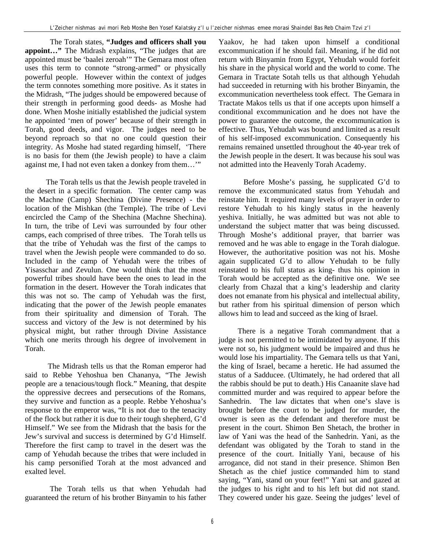The Torah states, **"Judges and officers shall you appoint…"** The Midrash explains, "The judges that are appointed must be 'baalei zeroah'" The Gemara most often uses this term to connote "strong-armed" or physically powerful people. However within the context of judges the term connotes something more positive. As it states in the Midrash, "The judges should be empowered because of their strength in performing good deeds- as Moshe had done. When Moshe initially established the judicial system he appointed 'men of power' because of their strength in Torah, good deeds, and vigor. The judges need to be beyond reproach so that no one could question their integrity. As Moshe had stated regarding himself, 'There is no basis for them (the Jewish people) to have a claim against me, I had not even taken a donkey from them…'"

 The Torah tells us that the Jewish people traveled in the desert in a specific formation. The center camp was the Machne (Camp) Shechina (Divine Presence) - the location of the Mishkan (the Temple). The tribe of Levi encircled the Camp of the Shechina (Machne Shechina). In turn, the tribe of Levi was surrounded by four other camps, each comprised of three tribes. The Torah tells us that the tribe of Yehudah was the first of the camps to travel when the Jewish people were commanded to do so. Included in the camp of Yehudah were the tribes of Yisasschar and Zevulun. One would think that the most powerful tribes should have been the ones to lead in the formation in the desert. However the Torah indicates that this was not so. The camp of Yehudah was the first, indicating that the power of the Jewish people emanates from their spirituality and dimension of Torah. The success and victory of the Jew is not determined by his physical might, but rather through Divine Assistance which one merits through his degree of involvement in Torah.

 The Midrash tells us that the Roman emperor had said to Rebbe Yehoshua ben Chananya, "The Jewish people are a tenacious/tough flock." Meaning, that despite the oppressive decrees and persecutions of the Romans, they survive and function as a people. Rebbe Yehoshua's response to the emperor was, "It is not due to the tenacity of the flock but rather it is due to their tough shepherd, G'd Himself." We see from the Midrash that the basis for the Jew's survival and success is determined by G'd Himself. Therefore the first camp to travel in the desert was the camp of Yehudah because the tribes that were included in his camp personified Torah at the most advanced and exalted level.

 The Torah tells us that when Yehudah had guaranteed the return of his brother Binyamin to his father

Yaakov, he had taken upon himself a conditional excommunication if he should fail. Meaning, if he did not return with Binyamin from Egypt, Yehudah would forfeit his share in the physical world and the world to come. The Gemara in Tractate Sotah tells us that although Yehudah had succeeded in returning with his brother Binyamin, the excommunication nevertheless took effect. The Gemara in Tractate Makos tells us that if one accepts upon himself a conditional excommunication and he does not have the power to guarantee the outcome, the excommunication is effective. Thus, Yehudah was bound and limited as a result of his self-imposed excommunication. Consequently his remains remained unsettled throughout the 40-year trek of the Jewish people in the desert. It was because his soul was not admitted into the Heavenly Torah Academy.

Before Moshe's passing, he supplicated G'd to remove the excommunicated status from Yehudah and reinstate him. It required many levels of prayer in order to restore Yehudah to his kingly status in the heavenly yeshiva. Initially, he was admitted but was not able to understand the subject matter that was being discussed. Through Moshe's additional prayer, that barrier was removed and he was able to engage in the Torah dialogue. However, the authoritative position was not his. Moshe again supplicated G'd to allow Yehudah to be fully reinstated to his full status as king- thus his opinion in Torah would be accepted as the definitive one. We see clearly from Chazal that a king's leadership and clarity does not emanate from his physical and intellectual ability, but rather from his spiritual dimension of person which allows him to lead and succeed as the king of Israel.

 There is a negative Torah commandment that a judge is not permitted to be intimidated by anyone. If this were not so, his judgment would be impaired and thus he would lose his impartiality. The Gemara tells us that Yani, the king of Israel, became a heretic. He had assumed the status of a Sadducee. (Ultimately, he had ordered that all the rabbis should be put to death.) His Canaanite slave had committed murder and was required to appear before the Sanhedrin. The law dictates that when one's slave is brought before the court to be judged for murder, the owner is seen as the defendant and therefore must be present in the court. Shimon Ben Shetach, the brother in law of Yani was the head of the Sanhedrin. Yani, as the defendant was obligated by the Torah to stand in the presence of the court. Initially Yani, because of his arrogance, did not stand in their presence. Shimon Ben Shetach as the chief justice commanded him to stand saying, "Yani, stand on your feet!" Yani sat and gazed at the judges to his right and to his left but did not stand. They cowered under his gaze. Seeing the judges' level of